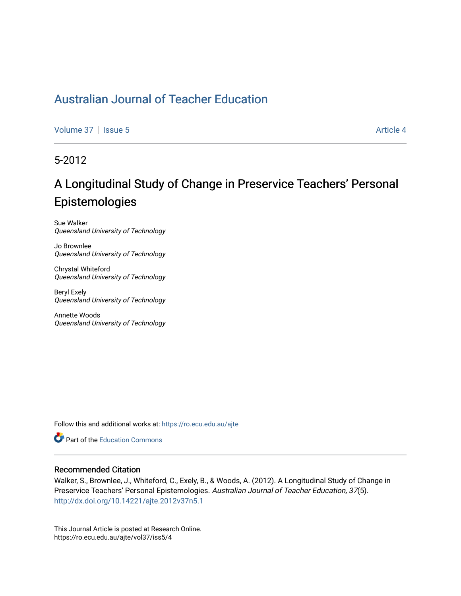[Volume 37](https://ro.ecu.edu.au/ajte/vol37) | [Issue 5](https://ro.ecu.edu.au/ajte/vol37/iss5) Article 4

5-2012

# A Longitudinal Study of Change in Preservice Teachers' Personal Epistemologies

Sue Walker Queensland University of Technology

Jo Brownlee Queensland University of Technology

Chrystal Whiteford Queensland University of Technology

Beryl Exely Queensland University of Technology

Annette Woods Queensland University of Technology

Follow this and additional works at: [https://ro.ecu.edu.au/ajte](https://ro.ecu.edu.au/ajte?utm_source=ro.ecu.edu.au%2Fajte%2Fvol37%2Fiss5%2F4&utm_medium=PDF&utm_campaign=PDFCoverPages) 

**Part of the Education Commons** 

## Recommended Citation

Walker, S., Brownlee, J., Whiteford, C., Exely, B., & Woods, A. (2012). A Longitudinal Study of Change in Preservice Teachers' Personal Epistemologies. Australian Journal of Teacher Education, 37(5). <http://dx.doi.org/10.14221/ajte.2012v37n5.1>

This Journal Article is posted at Research Online. https://ro.ecu.edu.au/ajte/vol37/iss5/4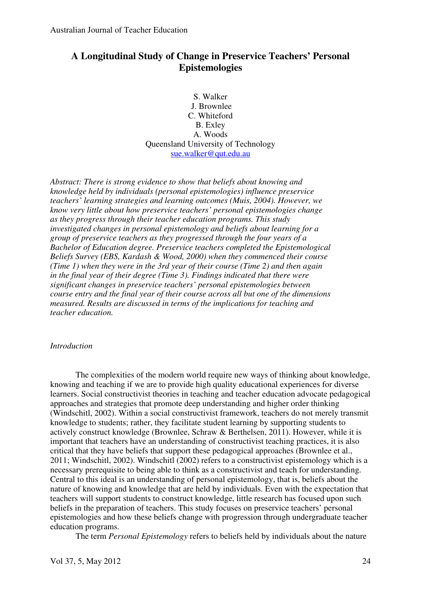## **A Longitudinal Study of Change in Preservice Teachers' Personal Epistemologies**

S. Walker J. Brownlee C. Whiteford B. Exley A. Woods Queensland University of Technology sue.walker@qut.edu.au

*Abstract: There is strong evidence to show that beliefs about knowing and knowledge held by individuals (personal epistemologies) influence preservice teachers' learning strategies and learning outcomes (Muis, 2004). However, we know very little about how preservice teachers' personal epistemologies change as they progress through their teacher education programs. This study investigated changes in personal epistemology and beliefs about learning for a group of preservice teachers as they progressed through the four years of a Bachelor of Education degree. Preservice teachers completed the Epistemological Beliefs Survey (EBS, Kardash & Wood, 2000) when they commenced their course (Time 1) when they were in the 3rd year of their course (Time 2) and then again in the final year of their degree (Time 3). Findings indicated that there were significant changes in preservice teachers' personal epistemologies between course entry and the final year of their course across all but one of the dimensions measured. Results are discussed in terms of the implications for teaching and teacher education.* 

## *Introduction*

The complexities of the modern world require new ways of thinking about knowledge, knowing and teaching if we are to provide high quality educational experiences for diverse learners. Social constructivist theories in teaching and teacher education advocate pedagogical approaches and strategies that promote deep understanding and higher order thinking (Windschitl, 2002). Within a social constructivist framework, teachers do not merely transmit knowledge to students; rather, they facilitate student learning by supporting students to actively construct knowledge (Brownlee, Schraw & Berthelsen, 2011). However, while it is important that teachers have an understanding of constructivist teaching practices, it is also critical that they have beliefs that support these pedagogical approaches (Brownlee et al., 2011; Windschitl, 2002). Windschitl (2002) refers to a constructivist epistemology which is a necessary prerequisite to being able to think as a constructivist and teach for understanding. Central to this ideal is an understanding of personal epistemology, that is, beliefs about the nature of knowing and knowledge that are held by individuals. Even with the expectation that teachers will support students to construct knowledge, little research has focused upon such beliefs in the preparation of teachers. This study focuses on preservice teachers' personal epistemologies and how these beliefs change with progression through undergraduate teacher education programs.

The term *Personal Epistemology* refers to beliefs held by individuals about the nature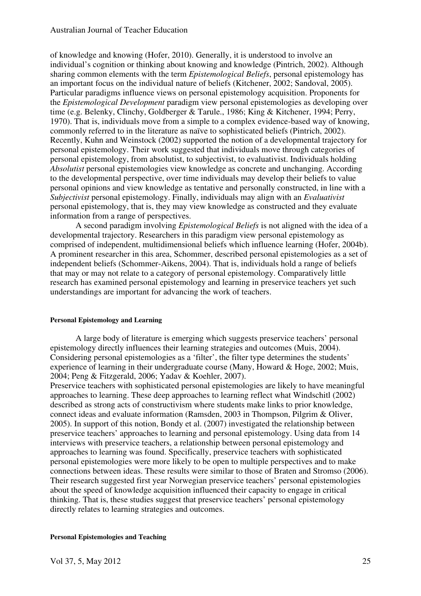of knowledge and knowing (Hofer, 2010). Generally, it is understood to involve an individual's cognition or thinking about knowing and knowledge (Pintrich, 2002). Although sharing common elements with the term *Epistemological Beliefs*, personal epistemology has an important focus on the individual nature of beliefs (Kitchener, 2002; Sandoval, 2005). Particular paradigms influence views on personal epistemology acquisition. Proponents for the *Epistemological Development* paradigm view personal epistemologies as developing over time (e.g. Belenky, Clinchy, Goldberger & Tarule., 1986; King & Kitchener, 1994; Perry, 1970). That is, individuals move from a simple to a complex evidence-based way of knowing, commonly referred to in the literature as naïve to sophisticated beliefs (Pintrich, 2002). Recently, Kuhn and Weinstock (2002) supported the notion of a developmental trajectory for personal epistemology. Their work suggested that individuals move through categories of personal epistemology, from absolutist, to subjectivist, to evaluativist. Individuals holding *Absolutist* personal epistemologies view knowledge as concrete and unchanging. According to the developmental perspective, over time individuals may develop their beliefs to value personal opinions and view knowledge as tentative and personally constructed, in line with a *Subjectivist* personal epistemology. Finally, individuals may align with an *Evaluativist*  personal epistemology, that is, they may view knowledge as constructed and they evaluate information from a range of perspectives.

A second paradigm involving *Epistemological Beliefs* is not aligned with the idea of a developmental trajectory. Researchers in this paradigm view personal epistemology as comprised of independent, multidimensional beliefs which influence learning (Hofer, 2004b). A prominent researcher in this area, Schommer, described personal epistemologies as a set of independent beliefs (Schommer-Aikens, 2004). That is, individuals hold a range of beliefs that may or may not relate to a category of personal epistemology. Comparatively little research has examined personal epistemology and learning in preservice teachers yet such understandings are important for advancing the work of teachers.

## **Personal Epistemology and Learning**

A large body of literature is emerging which suggests preservice teachers' personal epistemology directly influences their learning strategies and outcomes (Muis, 2004). Considering personal epistemologies as a 'filter', the filter type determines the students' experience of learning in their undergraduate course (Many, Howard & Hoge, 2002; Muis, 2004; Peng & Fitzgerald, 2006; Yadav & Koehler, 2007).

Preservice teachers with sophisticated personal epistemologies are likely to have meaningful approaches to learning. These deep approaches to learning reflect what Windschitl (2002) described as strong acts of constructivism where students make links to prior knowledge, connect ideas and evaluate information (Ramsden, 2003 in Thompson, Pilgrim & Oliver, 2005). In support of this notion, Bondy et al. (2007) investigated the relationship between preservice teachers' approaches to learning and personal epistemology. Using data from 14 interviews with preservice teachers, a relationship between personal epistemology and approaches to learning was found. Specifically, preservice teachers with sophisticated personal epistemologies were more likely to be open to multiple perspectives and to make connections between ideas. These results were similar to those of Braten and Stromso (2006). Their research suggested first year Norwegian preservice teachers' personal epistemologies about the speed of knowledge acquisition influenced their capacity to engage in critical thinking. That is, these studies suggest that preservice teachers' personal epistemology directly relates to learning strategies and outcomes.

#### **Personal Epistemologies and Teaching**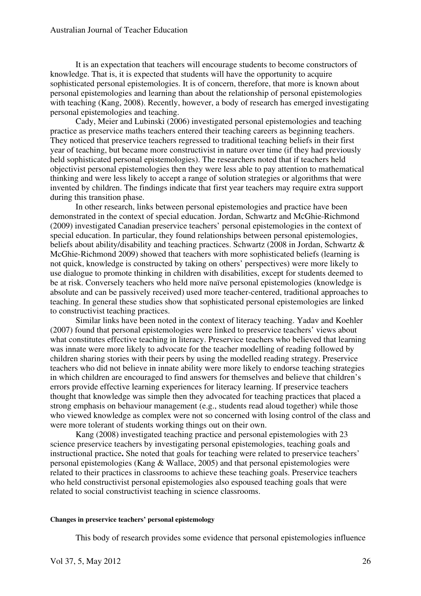It is an expectation that teachers will encourage students to become constructors of knowledge. That is, it is expected that students will have the opportunity to acquire sophisticated personal epistemologies. It is of concern, therefore, that more is known about personal epistemologies and learning than about the relationship of personal epistemologies with teaching (Kang, 2008). Recently, however, a body of research has emerged investigating personal epistemologies and teaching.

Cady, Meier and Lubinski (2006) investigated personal epistemologies and teaching practice as preservice maths teachers entered their teaching careers as beginning teachers. They noticed that preservice teachers regressed to traditional teaching beliefs in their first year of teaching, but became more constructivist in nature over time (if they had previously held sophisticated personal epistemologies). The researchers noted that if teachers held objectivist personal epistemologies then they were less able to pay attention to mathematical thinking and were less likely to accept a range of solution strategies or algorithms that were invented by children. The findings indicate that first year teachers may require extra support during this transition phase.

In other research, links between personal epistemologies and practice have been demonstrated in the context of special education. Jordan, Schwartz and McGhie-Richmond (2009) investigated Canadian preservice teachers' personal epistemologies in the context of special education. In particular, they found relationships between personal epistemologies, beliefs about ability/disability and teaching practices. Schwartz (2008 in Jordan, Schwartz & McGhie-Richmond 2009) showed that teachers with more sophisticated beliefs (learning is not quick, knowledge is constructed by taking on others' perspectives) were more likely to use dialogue to promote thinking in children with disabilities, except for students deemed to be at risk. Conversely teachers who held more naïve personal epistemologies (knowledge is absolute and can be passively received) used more teacher-centered, traditional approaches to teaching. In general these studies show that sophisticated personal epistemologies are linked to constructivist teaching practices.

Similar links have been noted in the context of literacy teaching. Yadav and Koehler (2007) found that personal epistemologies were linked to preservice teachers' views about what constitutes effective teaching in literacy. Preservice teachers who believed that learning was innate were more likely to advocate for the teacher modelling of reading followed by children sharing stories with their peers by using the modelled reading strategy. Preservice teachers who did not believe in innate ability were more likely to endorse teaching strategies in which children are encouraged to find answers for themselves and believe that children's errors provide effective learning experiences for literacy learning. If preservice teachers thought that knowledge was simple then they advocated for teaching practices that placed a strong emphasis on behaviour management (e.g., students read aloud together) while those who viewed knowledge as complex were not so concerned with losing control of the class and were more tolerant of students working things out on their own.

Kang (2008) investigated teaching practice and personal epistemologies with 23 science preservice teachers by investigating personal epistemologies, teaching goals and instructional practice**.** She noted that goals for teaching were related to preservice teachers' personal epistemologies (Kang & Wallace, 2005) and that personal epistemologies were related to their practices in classrooms to achieve these teaching goals. Preservice teachers who held constructivist personal epistemologies also espoused teaching goals that were related to social constructivist teaching in science classrooms.

#### **Changes in preservice teachers' personal epistemology**

This body of research provides some evidence that personal epistemologies influence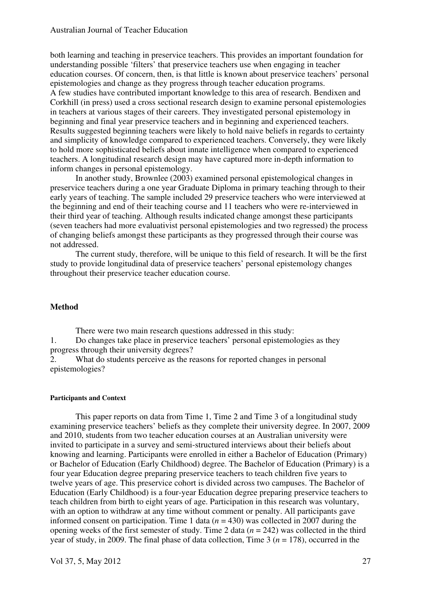both learning and teaching in preservice teachers. This provides an important foundation for understanding possible 'filters' that preservice teachers use when engaging in teacher education courses. Of concern, then, is that little is known about preservice teachers' personal epistemologies and change as they progress through teacher education programs. A few studies have contributed important knowledge to this area of research. Bendixen and Corkhill (in press) used a cross sectional research design to examine personal epistemologies in teachers at various stages of their careers. They investigated personal epistemology in beginning and final year preservice teachers and in beginning and experienced teachers. Results suggested beginning teachers were likely to hold naive beliefs in regards to certainty and simplicity of knowledge compared to experienced teachers. Conversely, they were likely to hold more sophisticated beliefs about innate intelligence when compared to experienced teachers. A longitudinal research design may have captured more in-depth information to inform changes in personal epistemology.

In another study, Brownlee (2003) examined personal epistemological changes in preservice teachers during a one year Graduate Diploma in primary teaching through to their early years of teaching. The sample included 29 preservice teachers who were interviewed at the beginning and end of their teaching course and 11 teachers who were re-interviewed in their third year of teaching. Although results indicated change amongst these participants (seven teachers had more evaluativist personal epistemologies and two regressed) the process of changing beliefs amongst these participants as they progressed through their course was not addressed.

The current study, therefore, will be unique to this field of research. It will be the first study to provide longitudinal data of preservice teachers' personal epistemology changes throughout their preservice teacher education course.

## **Method**

There were two main research questions addressed in this study:

1. Do changes take place in preservice teachers' personal epistemologies as they progress through their university degrees?

2. What do students perceive as the reasons for reported changes in personal epistemologies?

#### **Participants and Context**

This paper reports on data from Time 1, Time 2 and Time 3 of a longitudinal study examining preservice teachers' beliefs as they complete their university degree. In 2007, 2009 and 2010, students from two teacher education courses at an Australian university were invited to participate in a survey and semi-structured interviews about their beliefs about knowing and learning. Participants were enrolled in either a Bachelor of Education (Primary) or Bachelor of Education (Early Childhood) degree. The Bachelor of Education (Primary) is a four year Education degree preparing preservice teachers to teach children five years to twelve years of age. This preservice cohort is divided across two campuses. The Bachelor of Education (Early Childhood) is a four-year Education degree preparing preservice teachers to teach children from birth to eight years of age. Participation in this research was voluntary, with an option to withdraw at any time without comment or penalty. All participants gave informed consent on participation. Time 1 data  $(n = 430)$  was collected in 2007 during the opening weeks of the first semester of study. Time 2 data (*n* = 242) was collected in the third year of study, in 2009. The final phase of data collection, Time  $3 (n = 178)$ , occurred in the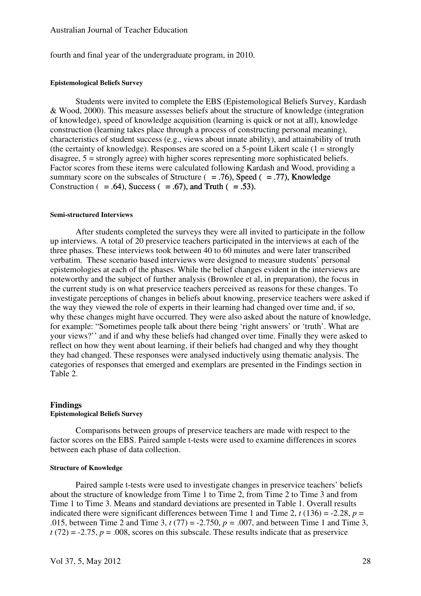fourth and final year of the undergraduate program, in 2010.

## **Epistemological Beliefs Survey**

Students were invited to complete the EBS (Epistemological Beliefs Survey, Kardash & Wood, 2000). This measure assesses beliefs about the structure of knowledge (integration of knowledge), speed of knowledge acquisition (learning is quick or not at all), knowledge construction (learning takes place through a process of constructing personal meaning), characteristics of student success (e.g., views about innate ability), and attainability of truth (the certainty of knowledge). Responses are scored on a 5-point Likert scale  $(1 = \text{strongly})$ disagree, 5 = strongly agree) with higher scores representing more sophisticated beliefs. Factor scores from these items were calculated following Kardash and Wood, providing a summary score on the subscales of Structure ( $= .76$ ), Speed ( $= .77$ ), Knowledge Construction ( $= .64$ ), Success ( $= .67$ ), and Truth ( $= .53$ ).

#### **Semi-structured Interviews**

After students completed the surveys they were all invited to participate in the follow up interviews. A total of 20 preservice teachers participated in the interviews at each of the three phases. These interviews took between 40 to 60 minutes and were later transcribed verbatim. These scenario based interviews were designed to measure students' personal epistemologies at each of the phases. While the belief changes evident in the interviews are noteworthy and the subject of further analysis (Brownlee et al, in preparation), the focus in the current study is on what preservice teachers perceived as reasons for these changes. To investigate perceptions of changes in beliefs about knowing, preservice teachers were asked if the way they viewed the role of experts in their learning had changed over time and, if so, why these changes might have occurred. They were also asked about the nature of knowledge, for example: "Sometimes people talk about there being 'right answers' or 'truth'. What are your views?'' and if and why these beliefs had changed over time. Finally they were asked to reflect on how they went about learning, if their beliefs had changed and why they thought they had changed. These responses were analysed inductively using thematic analysis. The categories of responses that emerged and exemplars are presented in the Findings section in Table 2.

#### **Findings Epistemological Beliefs Survey**

Comparisons between groups of preservice teachers are made with respect to the factor scores on the EBS. Paired sample t-tests were used to examine differences in scores between each phase of data collection.

#### **Structure of Knowledge**

Paired sample t-tests were used to investigate changes in preservice teachers' beliefs about the structure of knowledge from Time 1 to Time 2, from Time 2 to Time 3 and from Time 1 to Time 3. Means and standard deviations are presented in Table 1. Overall results indicated there were significant differences between Time 1 and Time 2,  $t(136) = -2.28$ ,  $p =$ .015, between Time 2 and Time 3, *t* (77) = -2.750, *p =* .007, and between Time 1 and Time 3,  $t(72) = -2.75$ ,  $p = .008$ , scores on this subscale. These results indicate that as preservice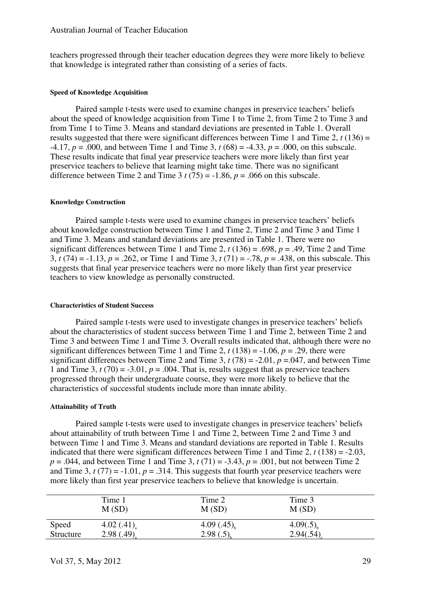teachers progressed through their teacher education degrees they were more likely to believe that knowledge is integrated rather than consisting of a series of facts.

#### **Speed of Knowledge Acquisition**

Paired sample t-tests were used to examine changes in preservice teachers' beliefs about the speed of knowledge acquisition from Time 1 to Time 2, from Time 2 to Time 3 and from Time 1 to Time 3. Means and standard deviations are presented in Table 1. Overall results suggested that there were significant differences between Time 1 and Time 2, *t* (136) =  $-4.17, p = .000$ , and between Time 1 and Time 3,  $t (68) = -4.33, p = .000$ , on this subscale. These results indicate that final year preservice teachers were more likely than first year preservice teachers to believe that learning might take time. There was no significant difference between Time 2 and Time 3  $t$  (75) = -1.86,  $p = .066$  on this subscale.

#### **Knowledge Construction**

Paired sample t-tests were used to examine changes in preservice teachers' beliefs about knowledge construction between Time 1 and Time 2, Time 2 and Time 3 and Time 1 and Time 3. Means and standard deviations are presented in Table 1. There were no significant differences between Time 1 and Time 2,  $t(136) = .698$ ,  $p = .49$ , Time 2 and Time 3, *t* (74) = -1.13, *p* = .262, or Time 1 and Time 3, *t* (71) = -.78, *p* = .438, on this subscale. This suggests that final year preservice teachers were no more likely than first year preservice teachers to view knowledge as personally constructed.

#### **Characteristics of Student Success**

Paired sample t-tests were used to investigate changes in preservice teachers' beliefs about the characteristics of student success between Time 1 and Time 2, between Time 2 and Time 3 and between Time 1 and Time 3. Overall results indicated that, although there were no significant differences between Time 1 and Time 2,  $t(138) = -1.06$ ,  $p = .29$ , there were significant differences between Time 2 and Time 3,  $t(78) = -2.01$ ,  $p = .047$ , and between Time 1 and Time 3,  $t(70) = -3.01$ ,  $p = .004$ . That is, results suggest that as preservice teachers progressed through their undergraduate course, they were more likely to believe that the characteristics of successful students include more than innate ability.

#### **Attainability of Truth**

Paired sample t-tests were used to investigate changes in preservice teachers' beliefs about attainability of truth between Time 1 and Time 2, between Time 2 and Time 3 and between Time 1 and Time 3. Means and standard deviations are reported in Table 1. Results indicated that there were significant differences between Time 1 and Time 2,  $t(138) = -2.03$ ,  $p = .044$ , and between Time 1 and Time 3,  $t(71) = -3.43$ ,  $p = .001$ , but not between Time 2 and Time 3,  $t(77) = -1.01$ ,  $p = .314$ . This suggests that fourth year preservice teachers were more likely than first year preservice teachers to believe that knowledge is uncertain.

|           | Time 1                    | Time 2          | Time 3         |
|-----------|---------------------------|-----------------|----------------|
|           | M(SD)                     | M(SD)           | M(SD)          |
| Speed     | 4.02 $(.41)$ <sub>a</sub> | $4.09(.45)_{h}$ | $4.09(.5)_{h}$ |
| Structure | 2.98(.49)                 | 2.98(.5)        | 2.94(.54)      |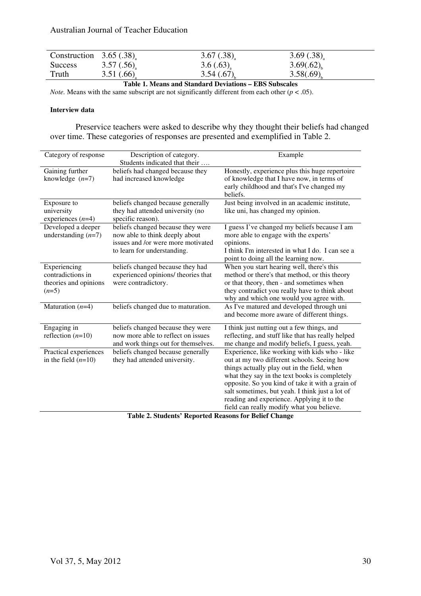| Construction $3.65(.38)$ <sub>a</sub> |           | $3.67(.38)$ <sub>2</sub> | 3.69(.38) |
|---------------------------------------|-----------|--------------------------|-----------|
| <b>Success</b>                        | 3.57(.56) | 3.6(.63)                 | 3.69(.62) |
| Truth                                 | 3.51(.66) | 3.54(.67)                | 3.58(.69) |

**Table 1. Means and Standard Deviations – EBS Subscales** 

*Note.* Means with the same subscript are not significantly different from each other  $(p < .05)$ .

## **Interview data**

Preservice teachers were asked to describe why they thought their beliefs had changed over time. These categories of responses are presented and exemplified in Table 2.

| Category of response                                                  | Description of category.<br>Students indicated that their                                                                                | Example                                                                                                                                                                                                                                                                                                                                                                                        |
|-----------------------------------------------------------------------|------------------------------------------------------------------------------------------------------------------------------------------|------------------------------------------------------------------------------------------------------------------------------------------------------------------------------------------------------------------------------------------------------------------------------------------------------------------------------------------------------------------------------------------------|
| Gaining further<br>knowledge $(n=7)$                                  | beliefs had changed because they<br>had increased knowledge                                                                              | Honestly, experience plus this huge repertoire<br>of knowledge that I have now, in terms of<br>early childhood and that's I've changed my<br>beliefs.                                                                                                                                                                                                                                          |
| Exposure to<br>university<br>experiences $(n=4)$                      | beliefs changed because generally<br>they had attended university (no<br>specific reason).                                               | Just being involved in an academic institute,<br>like uni, has changed my opinion.                                                                                                                                                                                                                                                                                                             |
| Developed a deeper<br>understanding $(n=7)$                           | beliefs changed because they were<br>now able to think deeply about<br>issues and /or were more motivated<br>to learn for understanding. | I guess I've changed my beliefs because I am<br>more able to engage with the experts'<br>opinions.<br>I think I'm interested in what I do. I can see a<br>point to doing all the learning now.                                                                                                                                                                                                 |
| Experiencing<br>contradictions in<br>theories and opinions<br>$(n=5)$ | beliefs changed because they had<br>experienced opinions/ theories that<br>were contradictory.                                           | When you start hearing well, there's this<br>method or there's that method, or this theory<br>or that theory, then - and sometimes when<br>they contradict you really have to think about<br>why and which one would you agree with.                                                                                                                                                           |
| Maturation $(n=4)$                                                    | beliefs changed due to maturation.                                                                                                       | As I've matured and developed through uni<br>and become more aware of different things.                                                                                                                                                                                                                                                                                                        |
| Engaging in<br>reflection $(n=10)$                                    | beliefs changed because they were<br>now more able to reflect on issues<br>and work things out for themselves.                           | I think just nutting out a few things, and<br>reflecting, and stuff like that has really helped<br>me change and modify beliefs, I guess, yeah.                                                                                                                                                                                                                                                |
| Practical experiences<br>in the field $(n=10)$                        | beliefs changed because generally<br>they had attended university.                                                                       | Experience, like working with kids who - like<br>out at my two different schools. Seeing how<br>things actually play out in the field, when<br>what they say in the text books is completely<br>opposite. So you kind of take it with a grain of<br>salt sometimes, but yeah. I think just a lot of<br>reading and experience. Applying it to the<br>field can really modify what you believe. |

**Table 2. Students' Reported Reasons for Belief Change**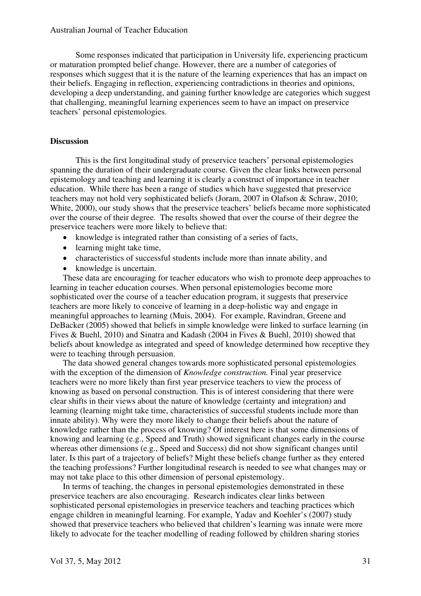Some responses indicated that participation in University life, experiencing practicum or maturation prompted belief change. However, there are a number of categories of responses which suggest that it is the nature of the learning experiences that has an impact on their beliefs. Engaging in reflection, experiencing contradictions in theories and opinions, developing a deep understanding, and gaining further knowledge are categories which suggest that challenging, meaningful learning experiences seem to have an impact on preservice teachers' personal epistemologies.

## **Discussion**

This is the first longitudinal study of preservice teachers' personal epistemologies spanning the duration of their undergraduate course. Given the clear links between personal epistemology and teaching and learning it is clearly a construct of importance in teacher education. While there has been a range of studies which have suggested that preservice teachers may not hold very sophisticated beliefs (Joram, 2007 in Olafson & Schraw, 2010; White, 2000), our study shows that the preservice teachers' beliefs became more sophisticated over the course of their degree. The results showed that over the course of their degree the preservice teachers were more likely to believe that:

- knowledge is integrated rather than consisting of a series of facts,
- learning might take time,
- characteristics of successful students include more than innate ability, and
- knowledge is uncertain.

These data are encouraging for teacher educators who wish to promote deep approaches to learning in teacher education courses. When personal epistemologies become more sophisticated over the course of a teacher education program, it suggests that preservice teachers are more likely to conceive of learning in a deep-holistic way and engage in meaningful approaches to learning (Muis, 2004). For example, Ravindran, Greene and DeBacker (2005) showed that beliefs in simple knowledge were linked to surface learning (in Fives & Buehl, 2010) and Sinatra and Kadash (2004 in Fives & Buehl, 2010) showed that beliefs about knowledge as integrated and speed of knowledge determined how receptive they were to teaching through persuasion.

The data showed general changes towards more sophisticated personal epistemologies with the exception of the dimension of *Knowledge construction*. Final year preservice teachers were no more likely than first year preservice teachers to view the process of knowing as based on personal construction. This is of interest considering that there were clear shifts in their views about the nature of knowledge (certainty and integration) and learning (learning might take time, characteristics of successful students include more than innate ability). Why were they more likely to change their beliefs about the nature of knowledge rather than the process of knowing? Of interest here is that some dimensions of knowing and learning (e.g., Speed and Truth) showed significant changes early in the course whereas other dimensions (e.g., Speed and Success) did not show significant changes until later. Is this part of a trajectory of beliefs? Might these beliefs change further as they entered the teaching professions? Further longitudinal research is needed to see what changes may or may not take place to this other dimension of personal epistemology.

In terms of teaching, the changes in personal epistemologies demonstrated in these preservice teachers are also encouraging. Research indicates clear links between sophisticated personal epistemologies in preservice teachers and teaching practices which engage children in meaningful learning. For example, Yadav and Koehler's (2007) study showed that preservice teachers who believed that children's learning was innate were more likely to advocate for the teacher modelling of reading followed by children sharing stories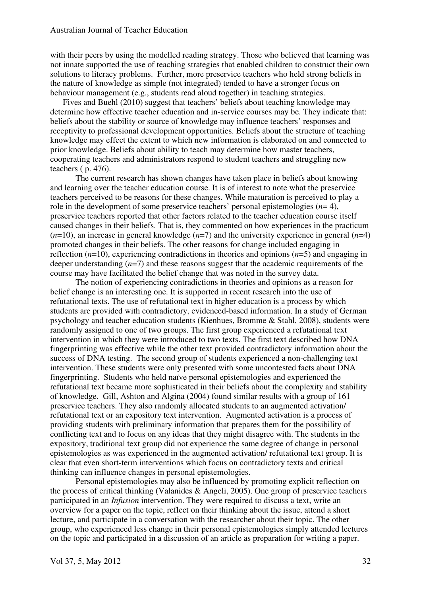with their peers by using the modelled reading strategy. Those who believed that learning was not innate supported the use of teaching strategies that enabled children to construct their own solutions to literacy problems. Further, more preservice teachers who held strong beliefs in the nature of knowledge as simple (not integrated) tended to have a stronger focus on behaviour management (e.g., students read aloud together) in teaching strategies.

Fives and Buehl (2010) suggest that teachers' beliefs about teaching knowledge may determine how effective teacher education and in-service courses may be. They indicate that: beliefs about the stability or source of knowledge may influence teachers' responses and receptivity to professional development opportunities. Beliefs about the structure of teaching knowledge may effect the extent to which new information is elaborated on and connected to prior knowledge. Beliefs about ability to teach may determine how master teachers, cooperating teachers and administrators respond to student teachers and struggling new teachers ( p. 476).

The current research has shown changes have taken place in beliefs about knowing and learning over the teacher education course. It is of interest to note what the preservice teachers perceived to be reasons for these changes. While maturation is perceived to play a role in the development of some preservice teachers' personal epistemologies (*n*= 4), preservice teachers reported that other factors related to the teacher education course itself caused changes in their beliefs. That is, they commented on how experiences in the practicum (*n*=10), an increase in general knowledge (*n*=7) and the university experience in general (*n*=4) promoted changes in their beliefs. The other reasons for change included engaging in reflection (*n*=10), experiencing contradictions in theories and opinions (*n*=5) and engaging in deeper understanding (*n*=7) and these reasons suggest that the academic requirements of the course may have facilitated the belief change that was noted in the survey data.

The notion of experiencing contradictions in theories and opinions as a reason for belief change is an interesting one. It is supported in recent research into the use of refutational texts. The use of refutational text in higher education is a process by which students are provided with contradictory, evidenced-based information. In a study of German psychology and teacher education students (Kienhues, Bromme & Stahl, 2008), students were randomly assigned to one of two groups. The first group experienced a refutational text intervention in which they were introduced to two texts. The first text described how DNA fingerprinting was effective while the other text provided contradictory information about the success of DNA testing. The second group of students experienced a non-challenging text intervention. These students were only presented with some uncontested facts about DNA fingerprinting. Students who held naïve personal epistemologies and experienced the refutational text became more sophisticated in their beliefs about the complexity and stability of knowledge. Gill, Ashton and Algina (2004) found similar results with a group of 161 preservice teachers. They also randomly allocated students to an augmented activation/ refutational text or an expository text intervention. Augmented activation is a process of providing students with preliminary information that prepares them for the possibility of conflicting text and to focus on any ideas that they might disagree with. The students in the expository, traditional text group did not experience the same degree of change in personal epistemologies as was experienced in the augmented activation/ refutational text group. It is clear that even short-term interventions which focus on contradictory texts and critical thinking can influence changes in personal epistemologies.

Personal epistemologies may also be influenced by promoting explicit reflection on the process of critical thinking (Valanides & Angeli, 2005). One group of preservice teachers participated in an *Infusion* intervention. They were required to discuss a text, write an overview for a paper on the topic, reflect on their thinking about the issue, attend a short lecture, and participate in a conversation with the researcher about their topic. The other group, who experienced less change in their personal epistemologies simply attended lectures on the topic and participated in a discussion of an article as preparation for writing a paper.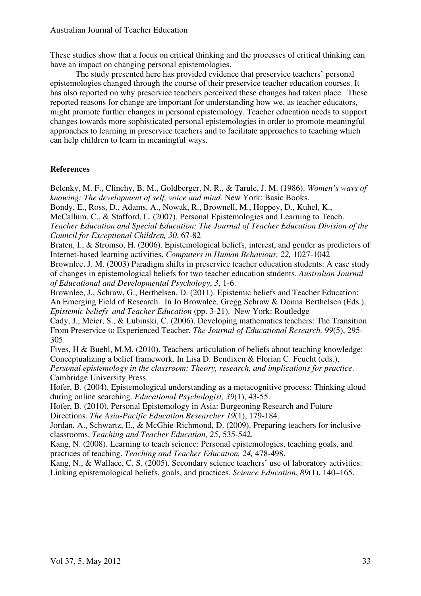These studies show that a focus on critical thinking and the processes of critical thinking can have an impact on changing personal epistemologies.

The study presented here has provided evidence that preservice teachers' personal epistemologies changed through the course of their preservice teacher education courses. It has also reported on why preservice teachers perceived these changes had taken place. These reported reasons for change are important for understanding how we, as teacher educators, might promote further changes in personal epistemology. Teacher education needs to support changes towards more sophisticated personal epistemologies in order to promote meaningful approaches to learning in preservice teachers and to facilitate approaches to teaching which can help children to learn in meaningful ways.

## **References**

Belenky, M. F., Clinchy, B. M., Goldberger, N. R., & Tarule, J. M. (1986). *Women's ways of knowing: The development of self, voice and mind.* New York: Basic Books.

Bondy, E., Ross, D., Adams, A., Nowak, R., Brownell, M., Hoppey, D., Kuhel, K., McCallum, C., & Stafford, L. (2007). Personal Epistemologies and Learning to Teach. *Teacher Education and Special Education: The Journal of Teacher Education Division of the Council for Exceptional Children, 30*, 67-82

Braten, I., & Stromso, H. (2006). Epistemological beliefs, interest, and gender as predictors of Internet-based learning activities. *Computers in Human Behaviour, 22,* 1027-1042

Brownlee, J. M. (2003) Paradigm shifts in preservice teacher education students: A case study of changes in epistemological beliefs for two teacher education students. *Australian Journal of Educational and Developmental Psychology*, *3*, 1-6.

Brownlee, J., Schraw, G., Berthelsen, D. (2011). Epistemic beliefs and Teacher Education: An Emerging Field of Research. In Jo Brownlee, Gregg Schraw & Donna Berthelsen (Eds.), *Epistemic beliefs and Teacher Education* (pp. 3-21). New York: Routledge

Cady, J., Meier, S., & Lubinski, C. (2006). Developing mathematics teachers: The Transition From Preservice to Experienced Teacher. *The Journal of Educational Research, 99*(5), 295- 305.

Fives, H & Buehl, M.M. (2010). Teachers' articulation of beliefs about teaching knowledge: Conceptualizing a belief framework. In Lisa D. Bendixen & Florian C. Feucht (eds.), *Personal epistemology in the classroom: Theory, research, and implications for practice*. Cambridge University Press.

Hofer, B. (2004). Epistemological understanding as a metacognitive process: Thinking aloud during online searching. *Educational Psychologist, 39*(1), 43-55.

Hofer, B. (2010). Personal Epistemology in Asia: Burgeoning Research and Future Directions. *The Asia-Pacific Education Researcher 19*(1), 179-184.

Jordan, A., Schwartz, E., & McGhie-Richmond, D. (2009). Preparing teachers for inclusive classrooms, *Teaching and Teacher Education, 25*, 535-542.

Kang, N. (2008). Learning to teach science: Personal epistemologies, teaching goals, and practices of teaching. *Teaching and Teacher Education, 24,* 478-498.

Kang, N., & Wallace, C. S. (2005). Secondary science teachers' use of laboratory activities: Linking epistemological beliefs, goals, and practices. *Science Education*, *89*(1), 140–165.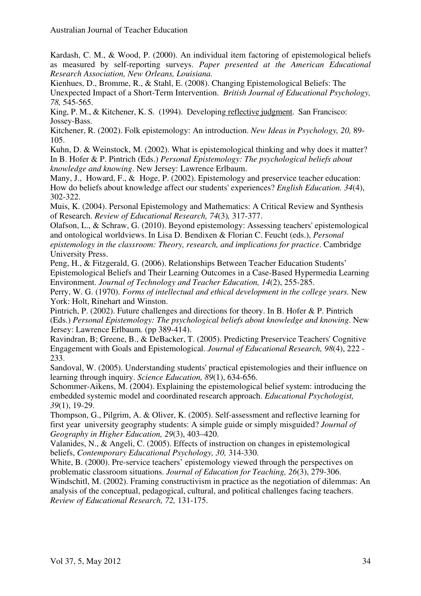Kardash, C. M., & Wood, P. (2000). An individual item factoring of epistemological beliefs as measured by self-reporting surveys. *Paper presented at the American Educational Research Association, New Orleans, Louisiana.*

Kienhues, D., Bromme, R., & Stahl, E. (2008). Changing Epistemological Beliefs: The Unexpected Impact of a Short-Term Intervention. *British Journal of Educational Psychology, 78,* 545-565.

King, P. M., & Kitchener, K. S. (1994). Developing reflective judgment. San Francisco: Jossey-Bass.

Kitchener, R. (2002). Folk epistemology: An introduction. *New Ideas in Psychology, 20,* 89- 105.

Kuhn, D. & Weinstock, M. (2002). What is epistemological thinking and why does it matter? In B. Hofer & P. Pintrich (Eds.) *Personal Epistemology: The psychological beliefs about knowledge and knowing*. New Jersey: Lawrence Erlbaum.

Many, J., Howard, F., & Hoge, P. (2002). Epistemology and preservice teacher education: How do beliefs about knowledge affect our students' experiences? *English Education. 34*(4), 302-322.

Muis, K. (2004). Personal Epistemology and Mathematics: A Critical Review and Synthesis of Research. *Review of Educational Research, 74*(3)*,* 317-377.

Olafson, L., & Schraw, G. (2010). Beyond epistemology: Assessing teachers' epistemological and ontological worldviews. In Lisa D. Bendixen & Florian C. Feucht (eds.), *Personal epistemology in the classroom: Theory, research, and implications for practice*. Cambridge University Press.

Peng, H., & Fitzgerald, G. (2006). Relationships Between Teacher Education Students' Epistemological Beliefs and Their Learning Outcomes in a Case-Based Hypermedia Learning Environment. *Journal of Technology and Teacher Education, 14*(2), 255-285.

Perry, W. G. (1970). *Forms of intellectual and ethical development in the college years.* New York: Holt, Rinehart and Winston.

Pintrich, P. (2002). Future challenges and directions for theory. In B. Hofer & P. Pintrich (Eds.) *Personal Epistemology: The psychological beliefs about knowledge and knowing*. New Jersey: Lawrence Erlbaum. (pp 389-414).

Ravindran, B; Greene, B., & DeBacker, T. (2005). Predicting Preservice Teachers' Cognitive Engagement with Goals and Epistemological. *Journal of Educational Research, 98*(4), 222 - 233.

Sandoval, W. (2005). Understanding students' practical epistemologies and their influence on learning through inquiry. *Science Education, 89*(1), 634-656.

Schommer-Aikens, M. (2004). Explaining the epistemological belief system: introducing the embedded systemic model and coordinated research approach. *Educational Psychologist, 39*(1), 19-29.

Thompson, G., Pilgrim, A. & Oliver, K. (2005). Self-assessment and reflective learning for first year university geography students: A simple guide or simply misguided? *Journal of Geography in Higher Education, 29*(3), 403–420.

Valanides, N., & Angeli, C. (2005). Effects of instruction on changes in epistemological beliefs, *Contemporary Educational Psychology, 30,* 314-330.

White, B. (2000). Pre-service teachers' epistemology viewed through the perspectives on problematic classroom situations. *Journal of Education for Teaching, 26*(3), 279-306.

Windschitl, M. (2002). Framing constructivism in practice as the negotiation of dilemmas: An analysis of the conceptual, pedagogical, cultural, and political challenges facing teachers. *Review of Educational Research, 72,* 131-175.